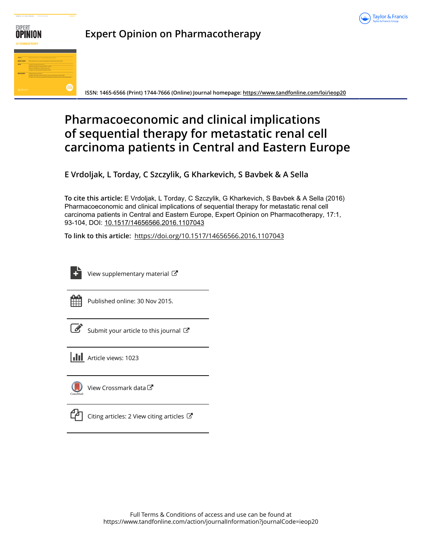



**Expert Opinion on Pharmacotherapy**

**ISSN: 1465-6566 (Print) 1744-7666 (Online) Journal homepage:<https://www.tandfonline.com/loi/ieop20>**

### **Pharmacoeconomic and clinical implications of sequential therapy for metastatic renal cell carcinoma patients in Central and Eastern Europe**

**E Vrdoljak, L Torday, C Szczylik, G Kharkevich, S Bavbek & A Sella**

**To cite this article:** E Vrdoljak, L Torday, C Szczylik, G Kharkevich, S Bavbek & A Sella (2016) Pharmacoeconomic and clinical implications of sequential therapy for metastatic renal cell carcinoma patients in Central and Eastern Europe, Expert Opinion on Pharmacotherapy, 17:1, 93-104, DOI: [10.1517/14656566.2016.1107043](https://www.tandfonline.com/action/showCitFormats?doi=10.1517/14656566.2016.1107043)

**To link to this article:** <https://doi.org/10.1517/14656566.2016.1107043>

| ______ |
|--------|
|        |
|        |
| -<br>- |
|        |

[View supplementary material](https://www.tandfonline.com/doi/suppl/10.1517/14656566.2016.1107043)  $\mathbb{Z}$ 

Published online: 30 Nov 2015.

| ۰. |
|----|

[Submit your article to this journal](https://www.tandfonline.com/action/authorSubmission?journalCode=ieop20&show=instructions)  $\mathbb{Z}$ 





[View Crossmark data](http://crossmark.crossref.org/dialog/?doi=10.1517/14656566.2016.1107043&domain=pdf&date_stamp=2015-11-30)



[Citing articles: 2 View citing articles](https://www.tandfonline.com/doi/citedby/10.1517/14656566.2016.1107043#tabModule)  $\mathbb{Z}$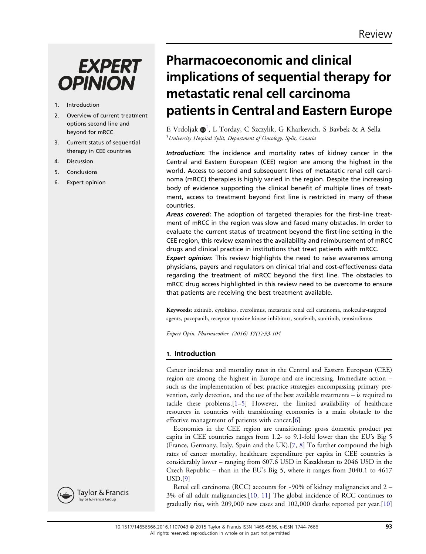## **EXPERT OPINION**

- 1. Introduction
- 2. Overview of current treatment options second line and beyond for mRCC
- 3. Current status of sequential therapy in CEE countries
- 4. Discussion
- 5. Conclusions
- 6. Expert opinion

# Taylor & Francis

Taylor & Francis Group

## Pharmacoeconomic and clinical implications of sequential therapy for metastatic renal cell carcinoma patients in Central and Eastern Europe

<span id="page-1-0"></span>E Vrdolja[k](http://orcid.org/0000-0001-8739-5946)  $\mathbf{O}^{\dagger}$ , L Torday, C Szczylik, G Kharkevich, S Bavbek & A Sella † University Hospital Split, Department of Oncology, Split, Croatia

Introduction: The incidence and mortality rates of kidney cancer in the Central and Eastern European (CEE) region are among the highest in the world. Access to second and subsequent lines of metastatic renal cell carcinoma (mRCC) therapies is highly varied in the region. Despite the increasing body of evidence supporting the clinical benefit of multiple lines of treatment, access to treatment beyond first line is restricted in many of these countries.

Areas covered: The adoption of targeted therapies for the first-line treatment of mRCC in the region was slow and faced many obstacles. In order to evaluate the current status of treatment beyond the first-line setting in the CEE region, this review examines the availability and reimbursement of mRCC drugs and clinical practice in institutions that treat patients with mRCC.

**Expert opinion:** This review highlights the need to raise awareness among physicians, payers and regulators on clinical trial and cost-effectiveness data regarding the treatment of mRCC beyond the first line. The obstacles to mRCC drug access highlighted in this review need to be overcome to ensure that patients are receiving the best treatment available.

Keywords: axitinib, cytokines, everolimus, metastatic renal cell carcinoma, molecular-targeted agents, pazopanib, receptor tyrosine kinase inhibitors, sorafenib, sunitinib, temsirolimus

Expert Opin. Pharmacother. (2016) 17(1):93-104

#### 1. Introduction

Cancer incidence and mortality rates in the Central and Eastern European (CEE) region are among the highest in Europe and are increasing. Immediate action – such as the implementation of best practice strategies encompassing primary prevention, early detection, and the use of the best available treatments – is required to tackle these problems.[\[1](#page-10-0)–[5](#page-10-1)] However, the limited availability of healthcare resources in countries with transitioning economies is a main obstacle to the effective management of patients with cancer.[[6\]](#page-10-2)

Economies in the CEE region are transitioning: gross domestic product per capita in CEE countries ranges from 1.2- to 9.1-fold lower than the EU's Big 5 (France, Germany, Italy, Spain and the UK).[[7,](#page-10-3) [8](#page-10-4)] To further compound the high rates of cancer mortality, healthcare expenditure per capita in CEE countries is considerably lower – ranging from 607.6 USD in Kazakhstan to 2046 USD in the Czech Republic – than in the EU's Big 5, where it ranges from 3040.1 to 4617 USD.[[9\]](#page-10-5)

Renal cell carcinoma (RCC) accounts for ~90% of kidney malignancies and 2 – 3% of all adult malignancies.[[10,](#page-10-6) [11\]](#page-10-7) The global incidence of RCC continues to gradually rise, with 209,000 new cases and 102,000 deaths reported per year.[\[10](#page-10-6)]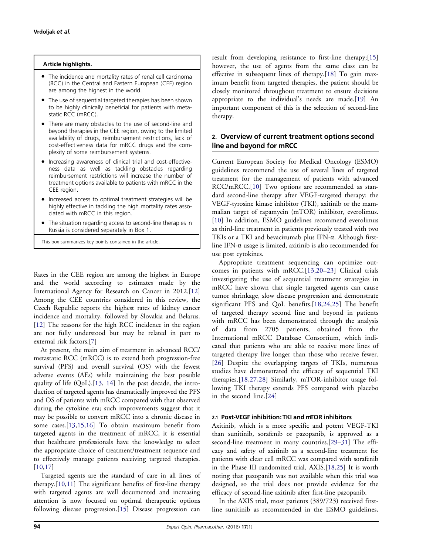#### Article highlights.

- The incidence and mortality rates of renal cell carcinoma (RCC) in the Central and Eastern European (CEE) region are among the highest in the world.
- The use of sequential targeted therapies has been shown to be highly clinically beneficial for patients with metastatic RCC (mRCC).
- There are many obstacles to the use of second-line and beyond therapies in the CEE region, owing to the limited availability of drugs, reimbursement restrictions, lack of cost-effectiveness data for mRCC drugs and the complexity of some reimbursement systems.
- Increasing awareness of clinical trial and cost-effectiveness data as well as tackling obstacles regarding reimbursement restrictions will increase the number of treatment options available to patients with mRCC in the CEE region.
- Increased access to optimal treatment strategies will be highly effective in tackling the high mortality rates associated with mRCC in this region.
- The situation regarding access to second-line therapies in Russia is considered separately in Box 1.

This box summarizes key points contained in the article.

Rates in the CEE region are among the highest in Europe and the world according to estimates made by the International Agency for Research on Cancer in 2012.[\[12](#page-10-8)] Among the CEE countries considered in this review, the Czech Republic reports the highest rates of kidney cancer incidence and mortality, followed by Slovakia and Belarus. [\[12](#page-10-8)] The reasons for the high RCC incidence in the region are not fully understood but may be related in part to external risk factors.[\[7](#page-10-3)]

At present, the main aim of treatment in advanced RCC/ metastatic RCC (mRCC) is to extend both progression-free survival (PFS) and overall survival (OS) with the fewest adverse events (AEs) while maintaining the best possible quality of life (QoL).[[13,](#page-10-9) [14\]](#page-11-0) In the past decade, the introduction of targeted agents has dramatically improved the PFS and OS of patients with mRCC compared with that observed during the cytokine era; such improvements suggest that it may be possible to convert mRCC into a chronic disease in some cases.[[13](#page-10-9)[,15](#page-11-1),[16](#page-11-2)] To obtain maximum benefit from targeted agents in the treatment of mRCC, it is essential that healthcare professionals have the knowledge to select the appropriate choice of treatment/treatment sequence and to effectively manage patients receiving targeted therapies. [\[10](#page-10-6),[17\]](#page-11-3)

Targeted agents are the standard of care in all lines of therapy.[[10](#page-10-6)[,11](#page-10-7)] The significant benefits of first-line therapy with targeted agents are well documented and increasing attention is now focused on optimal therapeutic options following disease progression.[\[15](#page-11-1)] Disease progression can

result from developing resistance to first-line therapy;[\[15](#page-11-1)] however, the use of agents from the same class can be effective in subsequent lines of therapy.[[18\]](#page-11-4) To gain maximum benefit from targeted therapies, the patient should be closely monitored throughout treatment to ensure decisions appropriate to the individual's needs are made.[\[19](#page-11-5)] An important component of this is the selection of second-line therapy.

#### 2. Overview of current treatment options second line and beyond for mRCC

Current European Society for Medical Oncology (ESMO) guidelines recommend the use of several lines of targeted treatment for the management of patients with advanced RCC/mRCC.[[10\]](#page-10-6) Two options are recommended as standard second-line therapy after VEGF-targeted therapy: the VEGF-tyrosine kinase inhibitor (TKI), axitinib or the mammalian target of rapamycin (mTOR) inhibitor, everolimus. [\[10\]](#page-10-6) In addition, ESMO guidelines recommend everolimus as third-line treatment in patients previously treated with two TKIs or a TKI and bevacizumab plus IFN-α. Although firstline IFN- $\alpha$  usage is limited, axitinib is also recommended for use post cytokines.

Appropriate treatment sequencing can optimize outcomes in patients with mRCC.[\[13,](#page-10-9)[20](#page-11-6)–[23\]](#page-11-7) Clinical trials investigating the use of sequential treatment strategies in mRCC have shown that single targeted agents can cause tumor shrinkage, slow disease progression and demonstrate significant PFS and QoL benefits.[\[18,](#page-11-4)[24](#page-11-8),[25](#page-11-9)] The benefit of targeted therapy second line and beyond in patients with mRCC has been demonstrated through the analysis of data from 2705 patients, obtained from the International mRCC Database Consortium, which indicated that patients who are able to receive more lines of targeted therapy live longer than those who receive fewer. [[26\]](#page-11-10) Despite the overlapping targets of TKIs, numerous studies have demonstrated the efficacy of sequential TKI therapies.[\[18,](#page-11-4)[27](#page-11-11),[28](#page-11-12)] Similarly, mTOR-inhibitor usage following TKI therapy extends PFS compared with placebo in the second line.[[24](#page-11-8)]

#### <span id="page-2-0"></span>2.1 Post-VEGF inhibition: TKI and mTOR inhibitors

Axitinib, which is a more specific and potent VEGF-TKI than sunitinib, sorafenib or pazopanib, is approved as a second-line treatment in many countries.[\[29](#page-11-13)–[31](#page-11-14)] The efficacy and safety of axitinib as a second-line treatment for patients with clear cell mRCC was compared with sorafenib in the Phase III randomized trial, AXIS.[[18](#page-11-4)[,25](#page-11-9)] It is worth noting that pazopanib was not available when this trial was designed, so the trial does not provide evidence for the efficacy of second-line axitinib after first-line pazopanib.

In the AXIS trial, most patients (389/723) received firstline sunitinib as recommended in the ESMO guidelines,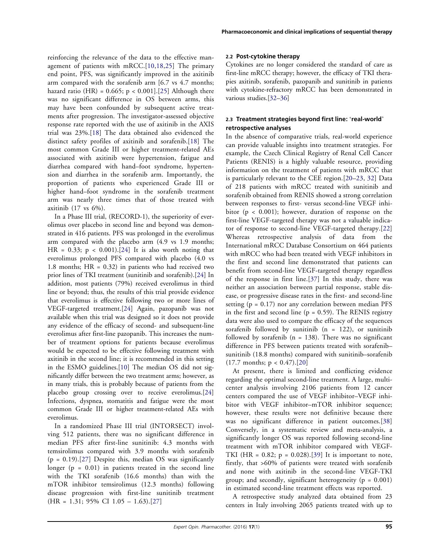reinforcing the relevance of the data to the effective management of patients with mRCC.[[10,](#page-10-6)[18](#page-11-4)[,25\]](#page-11-9) The primary end point, PFS, was significantly improved in the axitinib arm compared with the sorafenib arm [6.7 vs 4.7 months; hazard ratio (HR) =  $0.665$ ; p <  $0.001$ ].[\[25](#page-11-9)] Although there was no significant difference in OS between arms, this may have been confounded by subsequent active treatments after progression. The investigator-assessed objective response rate reported with the use of axitinib in the AXIS trial was 23%.[[18](#page-11-4)] The data obtained also evidenced the distinct safety profiles of axitinib and sorafenib.[[18](#page-11-4)] The most common Grade III or higher treatment-related AEs associated with axitinib were hypertension, fatigue and diarrhea compared with hand–foot syndrome, hypertension and diarrhea in the sorafenib arm. Importantly, the proportion of patients who experienced Grade III or higher hand–foot syndrome in the sorafenib treatment arm was nearly three times that of those treated with axitinib (17 vs 6%).

In a Phase III trial, (RECORD-1), the superiority of everolimus over placebo in second line and beyond was demonstrated in 416 patients. PFS was prolonged in the everolimus arm compared with the placebo arm (4.9 vs 1.9 months; HR =  $0.33$ ;  $p < 0.001$ ).[\[24](#page-11-8)] It is also worth noting that everolimus prolonged PFS compared with placebo (4.0 vs 1.8 months; HR = 0.32) in patients who had received two prior lines of TKI treatment (sunitinib and sorafenib).[[24\]](#page-11-8) In addition, most patients (79%) received everolimus in third line or beyond; thus, the results of this trial provide evidence that everolimus is effective following two or more lines of VEGF-targeted treatment.[[24](#page-11-8)] Again, pazopanib was not available when this trial was designed so it does not provide any evidence of the efficacy of second- and subsequent-line everolimus after first-line pazopanib. This increases the number of treatment options for patients because everolimus would be expected to be effective following treatment with axitinib in the second line; it is recommended in this setting in the ESMO guidelines.[\[10](#page-10-6)] The median OS did not significantly differ between the two treatment arms; however, as in many trials, this is probably because of patients from the placebo group crossing over to receive everolimus.[[24\]](#page-11-8) Infections, dyspnea, stomatitis and fatigue were the most common Grade III or higher treatment-related AEs with everolimus.

In a randomized Phase III trial (INTORSECT) involving 512 patients, there was no significant difference in median PFS after first-line sunitinib: 4.3 months with temsirolimus compared with 3.9 months with sorafenib  $(p = 0.19)$ .[[27\]](#page-11-11) Despite this, median OS was significantly longer ( $p = 0.01$ ) in patients treated in the second line with the TKI sorafenib (16.6 months) than with the mTOR inhibitor temsirolimus (12.3 months) following disease progression with first-line sunitinib treatment (HR = 1.31; 95% CI 1.05 – 1.63).[\[27\]](#page-11-11)

#### 2.2 Post-cytokine therapy

Cytokines are no longer considered the standard of care as first-line mRCC therapy; however, the efficacy of TKI therapies axitinib, sorafenib, pazopanib and sunitinib in patients with cytokine-refractory mRCC has been demonstrated in various studies.[[32](#page-11-15)–[36\]](#page-11-16)

#### 2.3 Treatment strategies beyond first line: 'real-world' retrospective analyses

In the absence of comparative trials, real-world experience can provide valuable insights into treatment strategies. For example, the Czech Clinical Registry of Renal Cell Cancer Patients (RENIS) is a highly valuable resource, providing information on the treatment of patients with mRCC that is particularly relevant to the CEE region.[\[20](#page-11-6)–[23,](#page-11-7) [32\]](#page-11-15) Data of 218 patients with mRCC treated with sunitinib and sorafenib obtained from RENIS showed a strong correlation between responses to first- versus second-line VEGF inhibitor ( $p < 0.001$ ); however, duration of response on the first-line VEGF-targeted therapy was not a valuable indicator of response to second-line VEGF-targeted therapy.[[22](#page-11-17)] Whereas retrospective analysis of data from the International mRCC Database Consortium on 464 patients with mRCC who had been treated with VEGF inhibitors in the first and second line demonstrated that patients can benefit from second-line VEGF-targeted therapy regardless of the response in first line.[[37](#page-11-18)] In this study, there was neither an association between partial response, stable disease, or progressive disease rates in the first- and second-line setting  $(p = 0.17)$  nor any correlation between median PFS in the first and second line  $(p = 0.59)$ . The RENIS registry data were also used to compare the efficacy of the sequences sorafenib followed by sunitinib  $(n = 122)$ , or sunitinib followed by sorafenib  $(n = 138)$ . There was no significant difference in PFS between patients treated with sorafenib– sunitinib (18.8 months) compared with sunitinib–sorafenib  $(17.7 \text{ months}; \, p < 0.47).[20]$  $(17.7 \text{ months}; \, p < 0.47).[20]$ 

At present, there is limited and conflicting evidence regarding the optimal second-line treatment. A large, multicenter analysis involving 2106 patients from 12 cancer centers compared the use of VEGF inhibitor–VEGF inhibitor with VEGF inhibitor–mTOR inhibitor sequence; however, these results were not definitive because there was no significant difference in patient outcomes.[[38](#page-11-19)] Conversely, in a systematic review and meta-analysis, a significantly longer OS was reported following second-line treatment with mTOR inhibitor compared with VEGF-TKI (HR =  $0.82$ ; p =  $0.028$ ).[\[39\]](#page-11-20) It is important to note, firstly, that >60% of patients were treated with sorafenib and none with axitinib in the second-line VEGF-TKI group; and secondly, significant heterogeneity ( $p = 0.001$ ) in estimated second-line treatment effects was reported.

A retrospective study analyzed data obtained from 23 centers in Italy involving 2065 patients treated with up to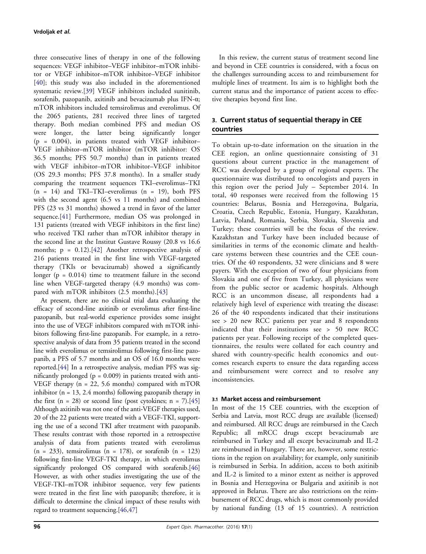three consecutive lines of therapy in one of the following sequences: VEGF inhibitor–VEGF inhibitor–mTOR inhibitor or VEGF inhibitor–mTOR inhibitor–VEGF inhibitor [\[40](#page-11-21)]; this study was also included in the aforementioned systematic review.[\[39](#page-11-20)] VEGF inhibitors included sunitinib, sorafenib, pazopanib, axitinib and bevacizumab plus IFN-α; mTOR inhibitors included temsirolimus and everolimus. Of the 2065 patients, 281 received three lines of targeted therapy. Both median combined PFS and median OS were longer, the latter being significantly longer (p = 0.004), in patients treated with VEGF inhibitor– VEGF inhibitor–mTOR inhibitor (mTOR inhibitor: OS 36.5 months; PFS 50.7 months) than in patients treated with VEGF inhibitor–mTOR inhibitor–VEGF inhibitor (OS 29.3 months; PFS 37.8 months). In a smaller study comparing the treatment sequences TKI–everolimus–TKI  $(n = 14)$  and TKI–TKI–everolimus  $(n = 19)$ , both PFS with the second agent (6.5 vs 11 months) and combined PFS (23 vs 31 months) showed a trend in favor of the latter sequence.[\[41](#page-11-22)] Furthermore, median OS was prolonged in 131 patients (treated with VEGF inhibitors in the first line) who received TKI rather than mTOR inhibitor therapy in the second line at the Institut Gustave Roussy (20.8 vs 16.6 months;  $p = 0.12$ . [\[42](#page-11-23)] Another retrospective analysis of 216 patients treated in the first line with VEGF-targeted therapy (TKIs or bevacizumab) showed a significantly longer ( $p = 0.014$ ) time to treatment failure in the second line when VEGF-targeted therapy (4.9 months) was compared with mTOR inhibitors (2.5 months).[\[43](#page-11-24)]

At present, there are no clinical trial data evaluating the efficacy of second-line axitinib or everolimus after first-line pazopanib, but real-world experience provides some insight into the use of VEGF inhibitors compared with mTOR inhibitors following first-line pazopanib. For example, in a retrospective analysis of data from 35 patients treated in the second line with everolimus or temsirolimus following first-line pazopanib, a PFS of 5.7 months and an OS of 16.0 months were reported.[[44](#page-11-25)] In a retrospective analysis, median PFS was significantly prolonged ( $p = 0.009$ ) in patients treated with anti-VEGF therapy (n = 22, 5.6 months) compared with mTOR inhibitor (n = 13, 2.4 months) following pazopanib therapy in the first  $(n = 28)$  or second line (post cytokines;  $n = 7$ ).[\[45](#page-12-0)] Although axitinib was not one of the anti-VEGF therapies used, 20 of the 22 patients were treated with a VEGF-TKI, supporting the use of a second TKI after treatment with pazopanib. These results contrast with those reported in a retrospective analysis of data from patients treated with everolimus  $(n = 233)$ , temsirolimus  $(n = 178)$ , or sorafenib  $(n = 123)$ following first-line VEGF-TKI therapy, in which everolimus significantly prolonged OS compared with sorafenib.[\[46](#page-12-1)] However, as with other studies investigating the use of the VEGF-TKI–mTOR inhibitor sequence, very few patients were treated in the first line with pazopanib; therefore, it is difficult to determine the clinical impact of these results with regard to treatment sequencing.[[46](#page-12-1)[,47\]](#page-12-2)

In this review, the current status of treatment second line and beyond in CEE countries is considered, with a focus on the challenges surrounding access to and reimbursement for multiple lines of treatment. Its aim is to highlight both the current status and the importance of patient access to effective therapies beyond first line.

#### 3. Current status of sequential therapy in CEE countries

To obtain up-to-date information on the situation in the CEE region, an online questionnaire consisting of 31 questions about current practice in the management of RCC was developed by a group of regional experts. The questionnaire was distributed to oncologists and payers in this region over the period July – September 2014. In total, 40 responses were received from the following 15 countries: Belarus, Bosnia and Herzegovina, Bulgaria, Croatia, Czech Republic, Estonia, Hungary, Kazakhstan, Latvia, Poland, Romania, Serbia, Slovakia, Slovenia and Turkey; these countries will be the focus of the review. Kazakhstan and Turkey have been included because of similarities in terms of the economic climate and healthcare systems between these countries and the CEE countries. Of the 40 respondents, 32 were clinicians and 8 were payers. With the exception of two of four physicians from Slovakia and one of five from Turkey, all physicians were from the public sector or academic hospitals. Although RCC is an uncommon disease, all respondents had a relatively high level of experience with treating the disease: 26 of the 40 respondents indicated that their institutions see > 20 new RCC patients per year and 8 respondents indicated that their institutions see > 50 new RCC patients per year. Following receipt of the completed questionnaires, the results were collated for each country and shared with country-specific health economics and outcomes research experts to ensure the data regarding access and reimbursement were correct and to resolve any inconsistencies.

#### 3.1 Market access and reimbursement

In most of the 15 CEE countries, with the exception of Serbia and Latvia, most RCC drugs are available (licensed) and reimbursed. All RCC drugs are reimbursed in the Czech Republic; all mRCC drugs except bevacizumab are reimbursed in Turkey and all except bevacizumab and IL-2 are reimbursed in Hungary. There are, however, some restrictions in the region on availability; for example, only sunitinib is reimbursed in Serbia. In addition, access to both axitinib and IL-2 is limited to a minor extent as neither is approved in Bosnia and Herzegovina or Bulgaria and axitinib is not approved in Belarus. There are also restrictions on the reimbursement of RCC drugs, which is most commonly provided by national funding (13 of 15 countries). A restriction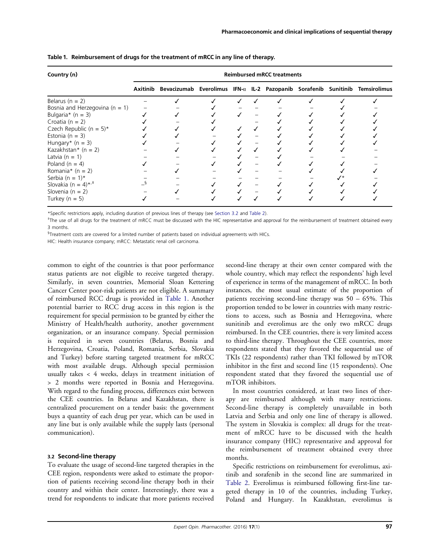| Country (n)                        |                                                                          |  | <b>Reimbursed mRCC treatments</b> |  |                     |
|------------------------------------|--------------------------------------------------------------------------|--|-----------------------------------|--|---------------------|
|                                    | Axitinib Bevacizumab Everolimus IFN-α IL-2 Pazopanib Sorafenib Sunitinib |  |                                   |  | <b>Temsirolimus</b> |
| Belarus ( $n = 2$ )                |                                                                          |  |                                   |  |                     |
| Bosnia and Herzegovina ( $n = 1$ ) |                                                                          |  |                                   |  |                     |
| Bulgaria* $(n = 3)$                |                                                                          |  |                                   |  |                     |
| Croatia ( $n = 2$ )                |                                                                          |  |                                   |  |                     |
| Czech Republic ( $n = 5$ )*        |                                                                          |  |                                   |  |                     |
| Estonia ( $n = 3$ )                |                                                                          |  |                                   |  |                     |
| Hungary* $(n = 3)$                 |                                                                          |  |                                   |  |                     |
| Kazakhstan* ( $n = 2$ )            |                                                                          |  |                                   |  |                     |
| Latvia $(n = 1)$                   |                                                                          |  |                                   |  |                     |
| Poland $(n = 4)$                   |                                                                          |  |                                   |  |                     |
| Romania* $(n = 2)$                 |                                                                          |  |                                   |  |                     |
| Serbia (n = $1$ )*                 |                                                                          |  |                                   |  |                     |
| Slovakia (n = $4$ )* <sup>+</sup>  |                                                                          |  |                                   |  |                     |
| Slovenia ( $n = 2$ )               |                                                                          |  |                                   |  |                     |
| Turkey ( $n = 5$ )                 |                                                                          |  |                                   |  |                     |

<span id="page-5-0"></span>Table 1. Reimbursement of drugs for the treatment of mRCC in any line of therapy.

\*Specific restrictions apply, including duration of previous lines of therapy (see [Section 3.2](#page-8-0) and [Table 2](#page-6-0)).

‡ The use of all drugs for the treatment of mRCC must be discussed with the HIC representative and approval for the reimbursement of treatment obtained every 3 months.

<sup>§</sup>Treatment costs are covered for a limited number of patients based on individual agreements with HICs.

HIC: Health insurance company; mRCC: Metastatic renal cell carcinoma.

common to eight of the countries is that poor performance status patients are not eligible to receive targeted therapy. Similarly, in seven countries, Memorial Sloan Kettering Cancer Center poor-risk patients are not eligible. A summary of reimbursed RCC drugs is provided in [Table 1.](#page-5-0) Another potential barrier to RCC drug access in this region is the requirement for special permission to be granted by either the Ministry of Health/health authority, another government organization, or an insurance company. Special permission is required in seven countries (Belarus, Bosnia and Herzegovina, Croatia, Poland, Romania, Serbia, Slovakia and Turkey) before starting targeted treatment for mRCC with most available drugs. Although special permission usually takes < 4 weeks, delays in treatment initiation of > 2 months were reported in Bosnia and Herzegovina. With regard to the funding process, differences exist between the CEE countries. In Belarus and Kazakhstan, there is centralized procurement on a tender basis: the government buys a quantity of each drug per year, which can be used in any line but is only available while the supply lasts (personal communication).

#### 3.2 Second-line therapy

To evaluate the usage of second-line targeted therapies in the CEE region, respondents were asked to estimate the proportion of patients receiving second-line therapy both in their country and within their center. Interestingly, there was a trend for respondents to indicate that more patients received

second-line therapy at their own center compared with the whole country, which may reflect the respondents' high level of experience in terms of the management of mRCC. In both instances, the most usual estimate of the proportion of patients receiving second-line therapy was 50 – 65%. This proportion tended to be lower in countries with many restrictions to access, such as Bosnia and Herzegovina, where sunitinib and everolimus are the only two mRCC drugs reimbursed. In the CEE countries, there is very limited access to third-line therapy. Throughout the CEE countries, more respondents stated that they favored the sequential use of TKIs (22 respondents) rather than TKI followed by mTOR inhibitor in the first and second line (15 respondents). One respondent stated that they favored the sequential use of mTOR inhibitors.

In most countries considered, at least two lines of therapy are reimbursed although with many restrictions. Second-line therapy is completely unavailable in both Latvia and Serbia and only one line of therapy is allowed. The system in Slovakia is complex: all drugs for the treatment of mRCC have to be discussed with the health insurance company (HIC) representative and approval for the reimbursement of treatment obtained every three months.

Specific restrictions on reimbursement for everolimus, axitinib and sorafenib in the second line are summarized in [Table 2.](#page-6-0) Everolimus is reimbursed following first-line targeted therapy in 10 of the countries, including Turkey, Poland and Hungary. In Kazakhstan, everolimus is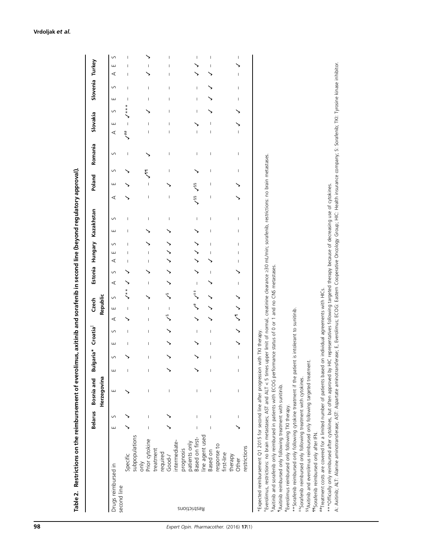<span id="page-6-0"></span>

|                                                                                                                                                                                                                                                                                                                                                                                   | <b>Belarus</b> |   | <b>Bosnia</b> and | lgaria*<br>쿪     |   | Croatia <sup>‡</sup>                |   | <b>Czech</b> |                |             |        |                |                          | Estonia Hungary Kazakhstan                                                                            |                        | Poland         |                          | Romania | Slovakia                        |      |        | Slovenia Turkey |             |
|-----------------------------------------------------------------------------------------------------------------------------------------------------------------------------------------------------------------------------------------------------------------------------------------------------------------------------------------------------------------------------------|----------------|---|-------------------|------------------|---|-------------------------------------|---|--------------|----------------|-------------|--------|----------------|--------------------------|-------------------------------------------------------------------------------------------------------|------------------------|----------------|--------------------------|---------|---------------------------------|------|--------|-----------------|-------------|
|                                                                                                                                                                                                                                                                                                                                                                                   |                |   | Herzegovina       |                  |   |                                     |   | Republic     |                |             |        |                |                          |                                                                                                       |                        |                |                          |         |                                 |      |        |                 |             |
| Drugs reimbursed in<br>second line                                                                                                                                                                                                                                                                                                                                                | ш              | S | ш                 | S<br>ш           | ш | S                                   | ⋖ | ш            | S              | ⋖           | ⋖<br>S | ш              | S                        | S<br>ш                                                                                                | ⋖                      | ш              | S                        | S       | ш<br>⋖                          | S    | S<br>ш | ⋖               | S<br>ш      |
| Specific                                                                                                                                                                                                                                                                                                                                                                          |                |   |                   |                  |   | ı                                   |   | ı            | $\checkmark^*$ | `           | ı      |                | I                        | ı                                                                                                     |                        |                |                          | I       | $\overline{\phantom{a}}$<br>$+$ | **** | I<br>1 | ı               | ı<br>I      |
| subpopulations<br>Prior cytokine<br>treatment<br>$\frac{1}{2}$                                                                                                                                                                                                                                                                                                                    | I              | T | I                 |                  | T | T                                   | T | T            | ゝ              | $\mathsf I$ | T<br>ゝ | $\overline{1}$ |                          | $\mathsf I$                                                                                           | I                      | $\overline{1}$ | Ę                        | ↘       | Т<br>ı                          |      | T<br>T |                 | $\mathsf I$ |
| required<br>Good-/                                                                                                                                                                                                                                                                                                                                                                |                |   | I                 |                  |   |                                     |   | T            | Z              |             |        |                |                          | I                                                                                                     | T                      |                | I                        | T       | T                               | I    | I<br>ı | T               | ı<br>T      |
| Based on first-<br>intermediate-<br>patients only<br>prognosis<br>Restrictions                                                                                                                                                                                                                                                                                                    |                |   |                   |                  |   | ı                                   |   |              |                | T           |        |                |                          | I                                                                                                     | $\sqrt{\frac{25}{35}}$ | 58             |                          | I       |                                 | ı    | ī<br>I |                 | I           |
| line agent used<br>Based on                                                                                                                                                                                                                                                                                                                                                       |                |   |                   |                  |   | I                                   |   |              |                |             | J.     | J.             | $\overline{\phantom{a}}$ | J                                                                                                     | I                      | ı              | J                        | J       |                                 |      |        |                 | I           |
| response to<br>first-line                                                                                                                                                                                                                                                                                                                                                         |                |   |                   |                  |   |                                     |   |              |                |             |        |                |                          |                                                                                                       |                        |                |                          |         |                                 |      |        |                 |             |
| restrictions<br>therapy<br>Other                                                                                                                                                                                                                                                                                                                                                  |                |   | T                 | $\mathsf I$<br>I |   |                                     |   |              |                | $\,$ $\,$   | T      | I              | I                        | I<br>I                                                                                                |                        |                | $\overline{\phantom{a}}$ | I       |                                 |      | I<br>I | I               | 1           |
| <sup>5</sup> Axitinib and sorafenib only reimbursed in patients with ECOG performance status of 0 or 1 and no CNS metastases.<br>*Expected reimbursement Q1 2015 for second line after progression with TKI therapy.<br>Everolimus, restrictions: no brain metastases; AST and ALT < 5 times<br>"Axitinib reimbursed only following treatment with sunitinib.                     |                |   |                   |                  |   |                                     |   |              |                |             |        |                |                          | upper limit of normal, creatinine clearance ≥30 mL/min; sorafenib, restrictions: no brain metastases. |                        |                |                          |         |                                 |      |        |                 |             |
| **Sorafenib reimbursed only following cytokine treatment if the patient is intolerant to sunitinib<br>##Sorafenib reimbursed only following treatment with cytokines.<br>Everolimus reimbursed only following TKI therapy.                                                                                                                                                        |                |   |                   |                  |   |                                     |   |              |                |             |        |                |                          |                                                                                                       |                        |                |                          |         |                                 |      |        |                 |             |
| 55 Axitinib and everolimus reimbursed only following targeted treatment.                                                                                                                                                                                                                                                                                                          |                |   |                   |                  |   |                                     |   |              |                |             |        |                |                          |                                                                                                       |                        |                |                          |         |                                 |      |        |                 |             |
| "Isorafenib reimbursed only after IFN.                                                                                                                                                                                                                                                                                                                                            |                |   |                   |                  |   |                                     |   |              |                |             |        |                |                          |                                                                                                       |                        |                |                          |         |                                 |      |        |                 |             |
| ##Treatment costs are covered for a limited number of patients based                                                                                                                                                                                                                                                                                                              |                |   |                   |                  |   | on individual agreements with HICs. |   |              |                |             |        |                |                          |                                                                                                       |                        |                |                          |         |                                 |      |        |                 |             |
| A: Axitinib; ALT: Alanine aminotransferase; AST: Aspartate aminotransferase; E, Everolimus; ECOG: Eastern Cooperative Oncology Group; HIC: Health insurance company; S: Sorafenib; TKI: Tyrosine kinase inhibitor.<br>***Officially only reimbursed after cytokines, but often approved by HIC representatives following targeted therapy because of decreasing use of cytokines. |                |   |                   |                  |   |                                     |   |              |                |             |        |                |                          |                                                                                                       |                        |                |                          |         |                                 |      |        |                 |             |

#### Vrdoljak et al.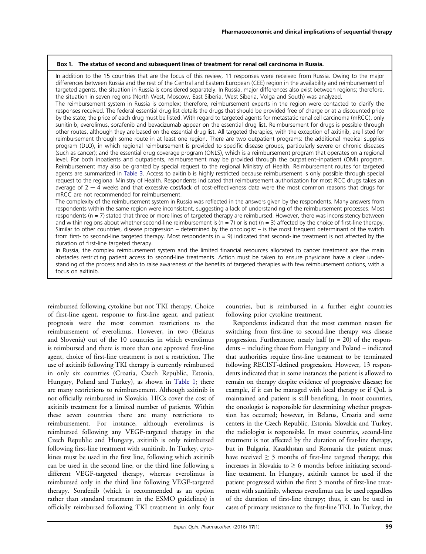#### Box 1. The status of second and subsequent lines of treatment for renal cell carcinoma in Russia.

In addition to the 15 countries that are the focus of this review, 11 responses were received from Russia. Owing to the major differences between Russia and the rest of the Central and Eastern European (CEE) region in the availability and reimbursement of targeted agents, the situation in Russia is considered separately. In Russia, major differences also exist between regions; therefore, the situation in seven regions (North West, Moscow, East Siberia, West Siberia, Volga and South) was analyzed.

The reimbursement system in Russia is complex; therefore, reimbursement experts in the region were contacted to clarify the responses received. The federal essential drug list details the drugs that should be provided free of charge or at a discounted price by the state; the price of each drug must be listed. With regard to targeted agents for metastatic renal cell carcinoma (mRCC), only sunitinib, everolimus, sorafenib and bevacizumab appear on the essential drug list. Reimbursement for drugs is possible through other routes, although they are based on the essential drug list. All targeted therapies, with the exception of axitinib, are listed for reimbursement through some route in at least one region. There are two outpatient programs: the additional medical supplies program (DLO), in which regional reimbursement is provided to specific disease groups, particularly severe or chronic diseases (such as cancer); and the essential drug coverage program (ONLS), which is a reimbursement program that operates on a regional level. For both inpatients and outpatients, reimbursement may be provided through the outpatient–inpatient (OMI) program. Reimbursement may also be granted by special request to the regional Ministry of Health. Reimbursement routes for targeted agents are summarized in [Table 3](#page-8-1). Access to axitinib is highly restricted because reimbursement is only possible through special request to the regional Ministry of Health. Respondents indicated that reimbursement authorization for most RCC drugs takes an average of  $2 - 4$  weeks and that excessive cost/lack of cost-effectiveness data were the most common reasons that drugs for mRCC are not recommended for reimbursement.

The complexity of the reimbursement system in Russia was reflected in the answers given by the respondents. Many answers from respondents within the same region were inconsistent, suggesting a lack of understanding of the reimbursement processes. Most respondents (n = 7) stated that three or more lines of targeted therapy are reimbursed. However, there was inconsistency between and within regions about whether second-line reimbursement is  $(n = 7)$  or is not  $(n = 3)$  affected by the choice of first-line therapy. Similar to other countries, disease progression – determined by the oncologist – is the most frequent determinant of the switch from first- to second-line targeted therapy. Most respondents ( $n = 9$ ) indicated that second-line treatment is not affected by the duration of first-line targeted therapy.

In Russia, the complex reimbursement system and the limited financial resources allocated to cancer treatment are the main obstacles restricting patient access to second-line treatments. Action must be taken to ensure physicians have a clear understanding of the process and also to raise awareness of the benefits of targeted therapies with few reimbursement options, with a focus on axitinib.

reimbursed following cytokine but not TKI therapy. Choice of first-line agent, response to first-line agent, and patient prognosis were the most common restrictions to the reimbursement of everolimus. However, in two (Belarus and Slovenia) out of the 10 countries in which everolimus is reimbursed and there is more than one approved first-line agent, choice of first-line treatment is not a restriction. The use of axitinib following TKI therapy is currently reimbursed in only six countries (Croatia, Czech Republic, Estonia, Hungary, Poland and Turkey), as shown in [Table 1](#page-5-0); there are many restrictions to reimbursement. Although axitinib is not officially reimbursed in Slovakia, HICs cover the cost of axitinib treatment for a limited number of patients. Within these seven countries there are many restrictions to reimbursement. For instance, although everolimus is reimbursed following any VEGF-targeted therapy in the Czech Republic and Hungary, axitinib is only reimbursed following first-line treatment with sunitinib. In Turkey, cytokines must be used in the first line, following which axitinib can be used in the second line, or the third line following a different VEGF-targeted therapy, whereas everolimus is reimbursed only in the third line following VEGF-targeted therapy. Sorafenib (which is recommended as an option rather than standard treatment in the ESMO guidelines) is officially reimbursed following TKI treatment in only four

countries, but is reimbursed in a further eight countries following prior cytokine treatment.

Respondents indicated that the most common reason for switching from first-line to second-line therapy was disease progression. Furthermore, nearly half (n = 20) of the respondents – including those from Hungary and Poland – indicated that authorities require first-line treatment to be terminated following RECIST-defined progression. However, 13 respondents indicated that in some instances the patient is allowed to remain on therapy despite evidence of progressive disease; for example, if it can be managed with local therapy or if QoL is maintained and patient is still benefiting. In most countries, the oncologist is responsible for determining whether progression has occurred; however, in Belarus, Croatia and some centers in the Czech Republic, Estonia, Slovakia and Turkey, the radiologist is responsible. In most countries, second-line treatment is not affected by the duration of first-line therapy, but in Bulgaria, Kazakhstan and Romania the patient must have received  $\geq 3$  months of first-line targeted therapy; this increases in Slovakia to  $\geq 6$  months before initiating secondline treatment. In Hungary, axitinib cannot be used if the patient progressed within the first 3 months of first-line treatment with sunitinib, whereas everolimus can be used regardless of the duration of first-line therapy; thus, it can be used in cases of primary resistance to the first-line TKI. In Turkey, the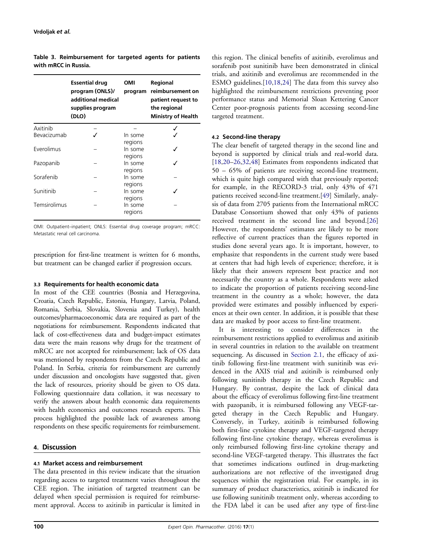|              | <b>Essential drug</b><br>program (ONLS)/<br>additional medical<br>supplies program<br>(DLO) | OMI<br>program | Regional<br>reimbursement on<br>patient request to<br>the regional<br><b>Ministry of Health</b> |
|--------------|---------------------------------------------------------------------------------------------|----------------|-------------------------------------------------------------------------------------------------|
| Axitinib     |                                                                                             |                |                                                                                                 |
| Bevacizumab  |                                                                                             | In some        |                                                                                                 |
|              |                                                                                             | regions        |                                                                                                 |
| Everolimus   |                                                                                             | In some        |                                                                                                 |
|              |                                                                                             | regions        |                                                                                                 |
| Pazopanib    |                                                                                             | In some        |                                                                                                 |
|              |                                                                                             | regions        |                                                                                                 |
| Sorafenib    |                                                                                             | In some        |                                                                                                 |
|              |                                                                                             | regions        |                                                                                                 |
| Sunitinib    |                                                                                             | In some        |                                                                                                 |
|              |                                                                                             | regions        |                                                                                                 |
| Temsirolimus |                                                                                             | In some        |                                                                                                 |
|              |                                                                                             | regions        |                                                                                                 |

<span id="page-8-1"></span>Table 3. Reimbursement for targeted agents for patients with mRCC in Russia.

OMI: Outpatient–inpatient; ONLS: Essential drug coverage program; mRCC: Metastatic renal cell carcinoma.

prescription for first-line treatment is written for 6 months, but treatment can be changed earlier if progression occurs.

#### 3.3 Requirements for health economic data

In most of the CEE countries (Bosnia and Herzegovina, Croatia, Czech Republic, Estonia, Hungary, Latvia, Poland, Romania, Serbia, Slovakia, Slovenia and Turkey), health outcomes/pharmacoeconomic data are required as part of the negotiations for reimbursement. Respondents indicated that lack of cost-effectiveness data and budget-impact estimates data were the main reasons why drugs for the treatment of mRCC are not accepted for reimbursement; lack of OS data was mentioned by respondents from the Czech Republic and Poland. In Serbia, criteria for reimbursement are currently under discussion and oncologists have suggested that, given the lack of resources, priority should be given to OS data. Following questionnaire data collation, it was necessary to verify the answers about health economic data requirements with health economics and outcomes research experts. This process highlighted the possible lack of awareness among respondents on these specific requirements for reimbursement.

#### 4. Discussion

#### 4.1 Market access and reimbursement

The data presented in this review indicate that the situation regarding access to targeted treatment varies throughout the CEE region. The initiation of targeted treatment can be delayed when special permission is required for reimbursement approval. Access to axitinib in particular is limited in

this region. The clinical benefits of axitinib, everolimus and sorafenib post sunitinib have been demonstrated in clinical trials, and axitinib and everolimus are recommended in the ESMO guidelines.[[10](#page-10-6)[,18](#page-11-4),[24\]](#page-11-8) The data from this survey also highlighted the reimbursement restrictions preventing poor performance status and Memorial Sloan Kettering Cancer Center poor-prognosis patients from accessing second-line targeted treatment.

#### <span id="page-8-0"></span>4.2 Second-line therapy

The clear benefit of targeted therapy in the second line and beyond is supported by clinical trials and real-world data. [\[18,](#page-11-4)[20](#page-11-6)–[26](#page-11-10),[32](#page-11-15),[48](#page-12-3)] Estimates from respondents indicated that 50 – 65% of patients are receiving second-line treatment, which is quite high compared with that previously reported; for example, in the RECORD-3 trial, only 43% of 471 patients received second-line treatment.[\[49](#page-12-4)] Similarly, analysis of data from 2705 patients from the International mRCC Database Consortium showed that only 43% of patients received treatment in the second line and beyond.[\[26](#page-11-10)] However, the respondents' estimates are likely to be more reflective of current practices than the figures reported in studies done several years ago. It is important, however, to emphasize that respondents in the current study were based at centers that had high levels of experience; therefore, it is likely that their answers represent best practice and not necessarily the country as a whole. Respondents were asked to indicate the proportion of patients receiving second-line treatment in the country as a whole; however, the data provided were estimates and possibly influenced by experiences at their own center. In addition, it is possible that these data are masked by poor access to first-line treatment.

It is interesting to consider differences in the reimbursement restrictions applied to everolimus and axitinib in several countries in relation to the available on treatment sequencing. As discussed in [Section 2.1](#page-2-0), the efficacy of axitinib following first-line treatment with sunitinib was evidenced in the AXIS trial and axitinib is reimbursed only following sunitinib therapy in the Czech Republic and Hungary. By contrast, despite the lack of clinical data about the efficacy of everolimus following first-line treatment with pazopanib, it is reimbursed following any VEGF-targeted therapy in the Czech Republic and Hungary. Conversely, in Turkey, axitinib is reimbursed following both first-line cytokine therapy and VEGF-targeted therapy following first-line cytokine therapy, whereas everolimus is only reimbursed following first-line cytokine therapy and second-line VEGF-targeted therapy. This illustrates the fact that sometimes indications outlined in drug-marketing authorizations are not reflective of the investigated drug sequences within the registration trial. For example, in its summary of product characteristics, axitinib is indicated for use following sunitinib treatment only, whereas according to the FDA label it can be used after any type of first-line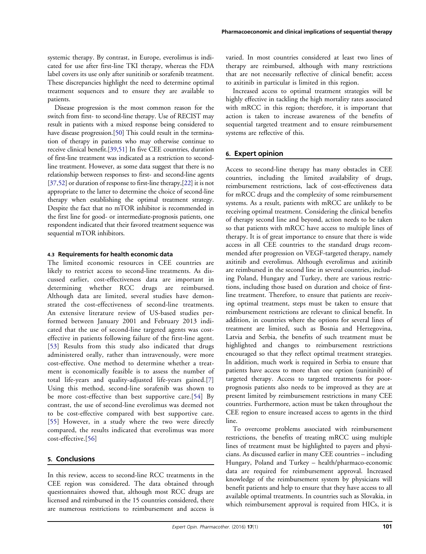systemic therapy. By contrast, in Europe, everolimus is indicated for use after first-line TKI therapy, whereas the FDA label covers its use only after sunitinib or sorafenib treatment. These discrepancies highlight the need to determine optimal treatment sequences and to ensure they are available to patients.

Disease progression is the most common reason for the switch from first- to second-line therapy. Use of RECIST may result in patients with a mixed response being considered to have disease progression.[[50\]](#page-12-5) This could result in the termination of therapy in patients who may otherwise continue to receive clinical benefit.[\[39](#page-11-20)[,51](#page-12-6)] In five CEE countries, duration of first-line treatment was indicated as a restriction to secondline treatment. However, as some data suggest that there is no relationship between responses to first- and second-line agents [\[37](#page-11-18)[,52](#page-12-7)] or duration of response to first-line therapy, [\[22](#page-11-17)] it is not appropriate to the latter to determine the choice of second-line therapy when establishing the optimal treatment strategy. Despite the fact that no mTOR inhibitor is recommended in the first line for good- or intermediate-prognosis patients, one respondent indicated that their favored treatment sequence was sequential mTOR inhibitors.

#### 4.3 Requirements for health economic data

The limited economic resources in CEE countries are likely to restrict access to second-line treatments. As discussed earlier, cost-effectiveness data are important in determining whether RCC drugs are reimbursed. Although data are limited, several studies have demonstrated the cost-effectiveness of second-line treatments. An extensive literature review of US-based studies performed between January 2001 and February 2013 indicated that the use of second-line targeted agents was costeffective in patients following failure of the first-line agent. [\[53\]](#page-12-8) Results from this study also indicated that drugs administered orally, rather than intravenously, were more cost-effective. One method to determine whether a treatment is economically feasible is to assess the number of total life-years and quality-adjusted life-years gained.[[7\]](#page-10-3) Using this method, second-line sorafenib was shown to be more cost-effective than best supportive care.[[54](#page-12-9)] By contrast, the use of second-line everolimus was deemed not to be cost-effective compared with best supportive care. [\[55\]](#page-12-10) However, in a study where the two were directly compared, the results indicated that everolimus was more cost-effective.[\[56\]](#page-12-11)

#### 5. Conclusions

In this review, access to second-line RCC treatments in the CEE region was considered. The data obtained through questionnaires showed that, although most RCC drugs are licensed and reimbursed in the 15 countries considered, there are numerous restrictions to reimbursement and access is varied. In most countries considered at least two lines of therapy are reimbursed, although with many restrictions that are not necessarily reflective of clinical benefit; access to axitinib in particular is limited in this region.

Increased access to optimal treatment strategies will be highly effective in tackling the high mortality rates associated with mRCC in this region; therefore, it is important that action is taken to increase awareness of the benefits of sequential targeted treatment and to ensure reimbursement systems are reflective of this.

#### 6. Expert opinion

Access to second-line therapy has many obstacles in CEE countries, including the limited availability of drugs, reimbursement restrictions, lack of cost-effectiveness data for mRCC drugs and the complexity of some reimbursement systems. As a result, patients with mRCC are unlikely to be receiving optimal treatment. Considering the clinical benefits of therapy second line and beyond, action needs to be taken so that patients with mRCC have access to multiple lines of therapy. It is of great importance to ensure that there is wide access in all CEE countries to the standard drugs recommended after progression on VEGF-targeted therapy, namely axitinib and everolimus. Although everolimus and axitinib are reimbursed in the second line in several countries, including Poland, Hungary and Turkey, there are various restrictions, including those based on duration and choice of firstline treatment. Therefore, to ensure that patients are receiving optimal treatment, steps must be taken to ensure that reimbursement restrictions are relevant to clinical benefit. In addition, in countries where the options for several lines of treatment are limited, such as Bosnia and Herzegovina, Latvia and Serbia, the benefits of such treatment must be highlighted and changes to reimbursement restrictions encouraged so that they reflect optimal treatment strategies. In addition, much work is required in Serbia to ensure that patients have access to more than one option (sunitinib) of targeted therapy. Access to targeted treatments for poorprognosis patients also needs to be improved as they are at present limited by reimbursement restrictions in many CEE countries. Furthermore, action must be taken throughout the CEE region to ensure increased access to agents in the third line.

To overcome problems associated with reimbursement restrictions, the benefits of treating mRCC using multiple lines of treatment must be highlighted to payers and physicians. As discussed earlier in many CEE countries – including Hungary, Poland and Turkey – health/pharmaco-economic data are required for reimbursement approval. Increased knowledge of the reimbursement system by physicians will benefit patients and help to ensure that they have access to all available optimal treatments. In countries such as Slovakia, in which reimbursement approval is required from HICs, it is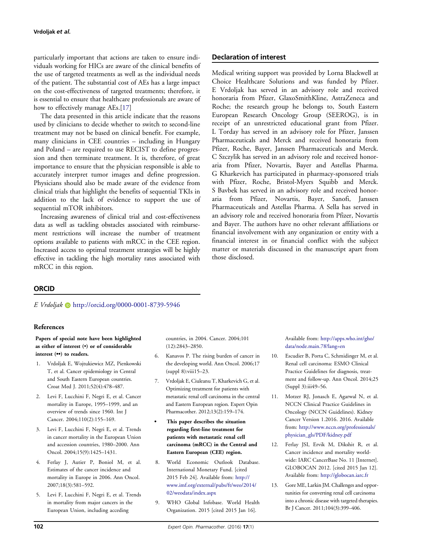particularly important that actions are taken to ensure individuals working for HICs are aware of the clinical benefits of the use of targeted treatments as well as the individual needs of the patient. The substantial cost of AEs has a large impact on the cost-effectiveness of targeted treatments; therefore, it is essential to ensure that healthcare professionals are aware of how to effectively manage AEs.[\[17](#page-11-3)]

The data presented in this article indicate that the reasons used by clinicians to decide whether to switch to second-line treatment may not be based on clinical benefit. For example, many clinicians in CEE countries – including in Hungary and Poland – are required to use RECIST to define progression and then terminate treatment. It is, therefore, of great importance to ensure that the physician responsible is able to accurately interpret tumor images and define progression. Physicians should also be made aware of the evidence from clinical trials that highlight the benefits of sequential TKIs in addition to the lack of evidence to support the use of sequential mTOR inhibitors.

Increasing awareness of clinical trial and cost-effectiveness data as well as tackling obstacles associated with reimbursement restrictions will increase the number of treatment options available to patients with mRCC in the CEE region. Increased access to optimal treatment strategies will be highly effective in tackling the high mortality rates associated with mRCC in this region.

#### Declaration of interest

Medical writing support was provided by Lorna Blackwell at Choice Healthcare Solutions and was funded by Pfizer. E Vrdoljak has served in an advisory role and received honoraria from Pfizer, GlaxoSmithKline, AstraZeneca and Roche; the research group he belongs to, South Eastern European Research Oncology Group (SEEROG), is in receipt of an unrestricted educational grant from Pfizer. L Torday has served in an advisory role for Pfizer, Janssen Pharmaceuticals and Merck and received honoraria from Pfizer, Roche, Bayer, Janssen Pharmaceuticals and Merck. C Szczylik has served in an advisory role and received honoraria from Pfizer, Novartis, Bayer and Astellas Pharma. G Kharkevich has participated in pharmacy-sponsored trials with Pfizer, Roche, Bristol-Myers Squibb and Merck. S Bavbek has served in an advisory role and received honoraria from Pfizer, Novartis, Bayer, Sanofi, Janssen Pharmaceuticals and Astellas Pharma. A Sella has served in an advisory role and received honoraria from Pfizer, Novartis and Bayer. The authors have no other relevant affiliations or financial involvement with any organization or entity with a financial interest in or financial conflict with the subject matter or materials discussed in the manuscript apart from those disclosed.

#### **ORCID**

#### E Vrdoljak **b** <http://orcid.org/0000-0001-8739-5946>

#### References

#### Papers of special note have been highlighted as either of interest (•) or of considerable interest (••) to readers.

- <span id="page-10-0"></span>1. Vrdoljak E, Wojtukiewicz MZ, Pienkowski T, et al. Cancer epidemiology in Central and South Eastern European countries. Croat Med J. 2011;52(4):478–487.
- 2. Levi F, Lucchini F, Negri E, et al. Cancer mortality in Europe, 1995–1999, and an overview of trends since 1960. Int J Cancer. 2004;110(2):155–169.
- 3. Levi F, Lucchini F, Negri E, et al. Trends in cancer mortality in the European Union and accession countries, 1980–2000. Ann Oncol. 2004;15(9):1425–1431.
- 4. Ferlay J, Autier P, Boniol M, et al. Estimates of the cancer incidence and mortality in Europe in 2006. Ann Oncol. 2007;18(3):581–592.
- <span id="page-10-1"></span>5. Levi F, Lucchini F, Negri E, et al. Trends in mortality from major cancers in the European Union, including acceding

countries, in 2004. Cancer. 2004;101 (12):2843–2850.

- <span id="page-10-2"></span>6. Kanavos P. The rising burden of cancer in the developing world. Ann Oncol. 2006;17 (suppl 8):viii15–23.
- <span id="page-10-3"></span>7. Vrdoljak E, Ciuleanu T, Kharkevich G, et al. Optimizing treatment for patients with metastatic renal cell carcinoma in the central and Eastern European region. Expert Opin Pharmacother. 2012;13(2):159–174.
- This paper describes the situation regarding first-line treatment for patients with metastatic renal cell carcinoma (mRCC) in the Central and Eastern European (CEE) region.
- <span id="page-10-4"></span>8. World Economic Outlook Database. International Monetary Fund. [cited 2015 Feb 24]. Available from: [http://](http://www.imf.org/external/pubs/ft/weo/2014/02/weodata/index.aspx) [www.imf.org/external/pubs/ft/weo/2014/](http://www.imf.org/external/pubs/ft/weo/2014/02/weodata/index.aspx) [02/weodata/index.aspx](http://www.imf.org/external/pubs/ft/weo/2014/02/weodata/index.aspx)
- <span id="page-10-5"></span>9. WHO Global Infobase. World Health Organization. 2015 [cited 2015 Jan 16].

Available from: [http://apps.who.int/gho/](http://apps.who.int/gho/data/node.main.78?lang=en) [data/node.main.78?lang=en](http://apps.who.int/gho/data/node.main.78?lang=en)

- <span id="page-10-6"></span>10. Escudier B, Porta C, Schmidinger M, et al. Renal cell carcinoma: ESMO Clinical Practice Guidelines for diagnosis, treatment and follow-up. Ann Oncol. 2014;25 (Suppl 3):iii49–56.
- <span id="page-10-7"></span>11. Motzer RJ, Jonasch E, Agarwal N, et al. NCCN Clinical Practice Guidelines in Oncology (NCCN Guidelines). Kidney Cancer Version 1.2016. 2016. Available from: [http://www.nccn.org/professionals/](http://globocan.iarc.fr) [physician\\_gls/PDF/kidney.pdf](http://globocan.iarc.fr)
- <span id="page-10-8"></span>12. Ferlay JSI, Ervik M, Dikshit R, et al. Cancer incidence and mortality worldwide: IARC CancerBase No. 11 [Internet]. GLOBOCAN 2012. [cited 2015 Jan 12]. Available from: <http://globocan.iarc.fr>
- <span id="page-10-9"></span>13. Gore ME, Larkin JM. Challenges and opportunities for converting renal cell carcinoma into a chronic disease with targeted therapies. Br J Cancer. 2011;104(3):399–406.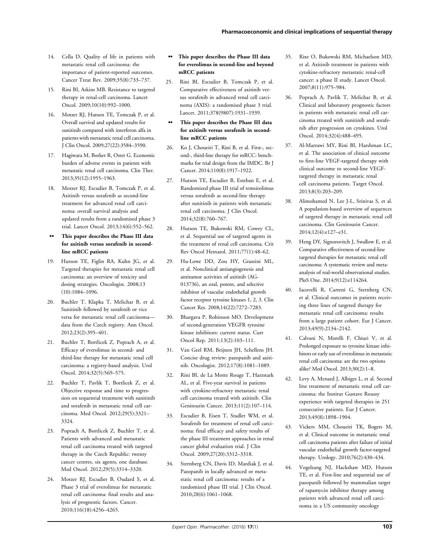- <span id="page-11-0"></span>14. Cella D. Quality of life in patients with metastatic renal cell carcinoma: the importance of patient-reported outcomes. Cancer Treat Rev. 2009;35(8):733–737.
- <span id="page-11-1"></span>15. Rini BI, Atkins MB. Resistance to targeted therapy in renal-cell carcinoma. Lancet Oncol. 2009;10(10):992–1000.
- <span id="page-11-2"></span>16. Motzer RJ, Hutson TE, Tomczak P, et al. Overall survival and updated results for sunitinib compared with interferon alfa in patients with metastatic renal cell carcinoma. J Clin Oncol. 2009;27(22):3584–3590.
- <span id="page-11-3"></span>17. Hagiwara M, Borker R, Oster G. Economic burden of adverse events in patients with metastatic renal cell carcinoma. Clin Ther. 2013;35(12):1955–1963.
- <span id="page-11-4"></span>18. Motzer RJ, Escudier B, Tomczak P, et al. Axitinib versus sorafenib as second-line treatment for advanced renal cell carcinoma: overall survival analysis and updated results from a randomised phase 3 trial. Lancet Oncol. 2013;14(6):552–562.
- This paper describes the Phase III data for axitinib versus sorafenib in secondline mRCC patients
- <span id="page-11-5"></span>19. Hutson TE, Figlin RA, Kuhn JG, et al. Targeted therapies for metastatic renal cell carcinoma: an overview of toxicity and dosing strategies. Oncologist. 2008;13 (10):1084–1096.
- <span id="page-11-6"></span>20. Buchler T, Klapka T, Melichar B, et al. Sunitinib followed by sorafenib or vice versa for metastatic renal cell carcinoma data from the Czech registry. Ann Oncol. 2012;23(2):395–401.
- 21. Buchler T, Bortlicek Z, Poprach A, et al. Efficacy of everolimus in second- and third-line therapy for metastatic renal cell carcinoma: a registry-based analysis. Urol Oncol. 2014;32(5):569–575.
- <span id="page-11-17"></span>22. Buchler T, Pavlik T, Bortlicek Z, et al. Objective response and time to progression on sequential treatment with sunitinib and sorafenib in metastatic renal cell carcinoma. Med Oncol. 2012;29(5):3321– 3324.
- <span id="page-11-7"></span>23. Poprach A, Bortlicek Z, Buchler T, et al. Patients with advanced and metastatic renal cell carcinoma treated with targeted therapy in the Czech Republic: twenty cancer centres, six agents, one database. Med Oncol. 2012;29(5):3314–3320.
- <span id="page-11-8"></span>24. Motzer RJ, Escudier B, Oudard S, et al. Phase 3 trial of everolimus for metastatic renal cell carcinoma: final results and analysis of prognostic factors. Cancer. 2010;116(18):4256–4265.
- •• This paper describes the Phase III data for everolimus in second-line and beyond mRCC patients
- <span id="page-11-9"></span>25. Rini BI, Escudier B, Tomczak P, et al. Comparative effectiveness of axitinib versus sorafenib in advanced renal cell carcinoma (AXIS): a randomised phase 3 trial. Lancet. 2011;378(9807):1931–1939.
- •• This paper describes the Phase III data for axitinib versus sorafenib in secondline mRCC patients
- <span id="page-11-10"></span>26. Ko J, Choueiri T, Rini B, et al. First-, second-, third-line therapy for mRCC: benchmarks for trial design from the IMDC. Br J Cancer. 2014;110(8):1917–1922.
- <span id="page-11-11"></span>27. Hutson TE, Escudier B, Esteban E, et al. Randomized phase III trial of temsirolimus versus sorafenib as second-line therapy after sunitinib in patients with metastatic renal cell carcinoma. J Clin Oncol. 2014;32(8):760–767.
- <span id="page-11-12"></span>28. Hutson TE, Bukowski RM, Cowey CL, et al. Sequential use of targeted agents in the treatment of renal cell carcinoma. Crit Rev Oncol Hematol. 2011;77(1):48–62.
- <span id="page-11-13"></span>29. Hu-Lowe DD, Zou HY, Grazzini ML, et al. Nonclinical antiangiogenesis and antitumor activities of axitinib (AG-013736), an oral, potent, and selective inhibitor of vascular endothelial growth factor receptor tyrosine kinases 1, 2, 3. Clin Cancer Res. 2008;14(22):7272–7283.
- 30. Bhargava P, Robinson MO. Development of second-generation VEGFR tyrosine kinase inhibitors: current status. Curr Oncol Rep. 2011;13(2):103–111.
- <span id="page-11-14"></span>31. Van Geel RM, Beijnen JH, Schellens JH. Concise drug review: pazopanib and axitinib. Oncologist. 2012;17(8):1081–1089.
- <span id="page-11-15"></span>32. Rini BI, de La Motte Rouge T, Harzstark AL, et al. Five-year survival in patients with cytokine-refractory metastatic renal cell carcinoma treated with axitinib. Clin Genitourin Cancer. 2013;11(2):107–114.
- 33. Escudier B, Eisen T, Stadler WM, et al. Sorafenib for treatment of renal cell carcinoma: final efficacy and safety results of the phase III treatment approaches in renal cancer global evaluation trial. J Clin Oncol. 2009;27(20):3312–3318.
- 34. Sternberg CN, Davis ID, Mardiak J, et al. Pazopanib in locally advanced or metastatic renal cell carcinoma: results of a randomized phase III trial. J Clin Oncol. 2010;28(6):1061–1068.
- 35. Rixe O, Bukowski RM, Michaelson MD, et al. Axitinib treatment in patients with cytokine-refractory metastatic renal-cell cancer: a phase II study. Lancet Oncol. 2007;8(11):975–984.
- <span id="page-11-16"></span>36. Poprach A, Pavlik T, Melichar B, et al. Clinical and laboratory prognostic factors in patients with metastatic renal cell carcinoma treated with sunitinib and sorafenib after progression on cytokines. Urol Oncol. 2014;32(4):488–495.
- <span id="page-11-18"></span>37. Al-Marrawi MY, Rini BI, Harshman LC, et al. The association of clinical outcome to first-line VEGF-targeted therapy with clinical outcome to second-line VEGFtargeted therapy in metastatic renal cell carcinoma patients. Target Oncol. 2013;8(3):203–209.
- <span id="page-11-19"></span>38. Alimohamed N, Lee J-L, Srinivas S, et al. A population-based overview of sequences of targeted therapy in metastatic renal cell carcinoma. Clin Genitourin Cancer. 2014;12(4):e127–e31.
- <span id="page-11-20"></span>39. Heng DY, Signorovitch J, Swallow E, et al. Comparative effectiveness of second-line targeted therapies for metastatic renal cell carcinoma: A systematic review and metaanalysis of real-world observational studies. PloS One. 2014;9(12):e114264.
- <span id="page-11-21"></span>40. Iacovelli R, Cartenì G, Sternberg CN, et al. Clinical outcomes in patients receiving three lines of targeted therapy for metastatic renal cell carcinoma: results from a large patient cohort. Eur J Cancer. 2013;49(9):2134–2142.
- <span id="page-11-22"></span>41. Calvani N, Morelli F, Chiuri V, et al. Prolonged exposure to tyrosine kinase inhibitors or early use of everolimus in metastatic renal cell carcinoma: are the two options alike? Med Oncol. 2013;30(2):1–8.
- <span id="page-11-23"></span>42. Levy A, Menard J, Albiges L, et al. Second line treatment of metastatic renal cell carcinoma: the Institut Gustave Roussy experience with targeted therapies in 251 consecutive patients. Eur J Cancer. 2013;49(8):1898–1904.
- <span id="page-11-24"></span>43. Vickers MM, Choueiri TK, Rogers M, et al. Clinical outcome in metastatic renal cell carcinoma patients after failure of initial vascular endothelial growth factor-targeted therapy. Urology. 2010;76(2):430–434.
- <span id="page-11-25"></span>44. Vogelzang NJ, Hackshaw MD, Hutson TE, et al. First-line and sequential use of pazopanib followed by mammalian target of rapamycin inhibitor therapy among patients with advanced renal cell carcinoma in a US community oncology